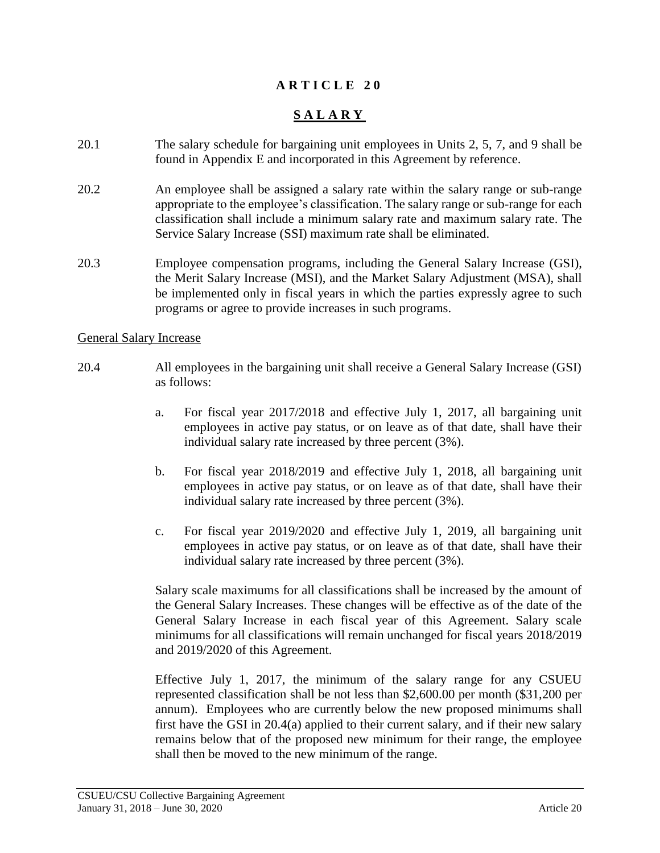## **A R T I C L E 2 0**

# **S A L A R Y**

- 20.1 The salary schedule for bargaining unit employees in Units 2, 5, 7, and 9 shall be found in Appendix E and incorporated in this Agreement by reference.
- 20.2 An employee shall be assigned a salary rate within the salary range or sub-range appropriate to the employee's classification. The salary range or sub-range for each classification shall include a minimum salary rate and maximum salary rate. The Service Salary Increase (SSI) maximum rate shall be eliminated.
- 20.3 Employee compensation programs, including the General Salary Increase (GSI), the Merit Salary Increase (MSI), and the Market Salary Adjustment (MSA), shall be implemented only in fiscal years in which the parties expressly agree to such programs or agree to provide increases in such programs.

#### General Salary Increase

- 20.4 All employees in the bargaining unit shall receive a General Salary Increase (GSI) as follows:
	- a. For fiscal year 2017/2018 and effective July 1, 2017, all bargaining unit employees in active pay status, or on leave as of that date, shall have their individual salary rate increased by three percent (3%).
	- b. For fiscal year 2018/2019 and effective July 1, 2018, all bargaining unit employees in active pay status, or on leave as of that date, shall have their individual salary rate increased by three percent (3%).
	- c. For fiscal year 2019/2020 and effective July 1, 2019, all bargaining unit employees in active pay status, or on leave as of that date, shall have their individual salary rate increased by three percent (3%).

Salary scale maximums for all classifications shall be increased by the amount of the General Salary Increases. These changes will be effective as of the date of the General Salary Increase in each fiscal year of this Agreement. Salary scale minimums for all classifications will remain unchanged for fiscal years 2018/2019 and 2019/2020 of this Agreement.

Effective July 1, 2017, the minimum of the salary range for any CSUEU represented classification shall be not less than \$2,600.00 per month (\$31,200 per annum). Employees who are currently below the new proposed minimums shall first have the GSI in 20.4(a) applied to their current salary, and if their new salary remains below that of the proposed new minimum for their range, the employee shall then be moved to the new minimum of the range.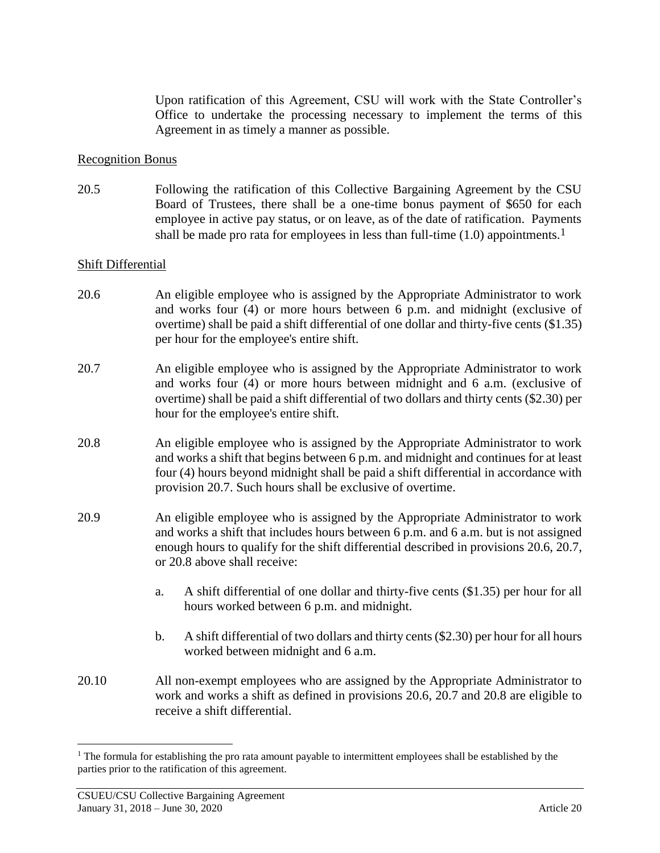Upon ratification of this Agreement, CSU will work with the State Controller's Office to undertake the processing necessary to implement the terms of this Agreement in as timely a manner as possible.

#### Recognition Bonus

20.5 Following the ratification of this Collective Bargaining Agreement by the CSU Board of Trustees, there shall be a one-time bonus payment of \$650 for each employee in active pay status, or on leave, as of the date of ratification. Payments shall be made pro rata for employees in less than full-time (1.0) appointments.<sup>1</sup>

#### Shift Differential

- 20.6 An eligible employee who is assigned by the Appropriate Administrator to work and works four (4) or more hours between 6 p.m. and midnight (exclusive of overtime) shall be paid a shift differential of one dollar and thirty-five cents (\$1.35) per hour for the employee's entire shift.
- 20.7 An eligible employee who is assigned by the Appropriate Administrator to work and works four (4) or more hours between midnight and 6 a.m. (exclusive of overtime) shall be paid a shift differential of two dollars and thirty cents (\$2.30) per hour for the employee's entire shift.
- 20.8 An eligible employee who is assigned by the Appropriate Administrator to work and works a shift that begins between 6 p.m. and midnight and continues for at least four (4) hours beyond midnight shall be paid a shift differential in accordance with provision 20.7. Such hours shall be exclusive of overtime.
- 20.9 An eligible employee who is assigned by the Appropriate Administrator to work and works a shift that includes hours between 6 p.m. and 6 a.m. but is not assigned enough hours to qualify for the shift differential described in provisions 20.6, 20.7, or 20.8 above shall receive:
	- a. A shift differential of one dollar and thirty-five cents (\$1.35) per hour for all hours worked between 6 p.m. and midnight.
	- b. A shift differential of two dollars and thirty cents (\$2.30) per hour for all hours worked between midnight and 6 a.m.
- 20.10 All non-exempt employees who are assigned by the Appropriate Administrator to work and works a shift as defined in provisions 20.6, 20.7 and 20.8 are eligible to receive a shift differential.

 $\overline{a}$ 

<sup>&</sup>lt;sup>1</sup> The formula for establishing the pro rata amount payable to intermittent employees shall be established by the parties prior to the ratification of this agreement.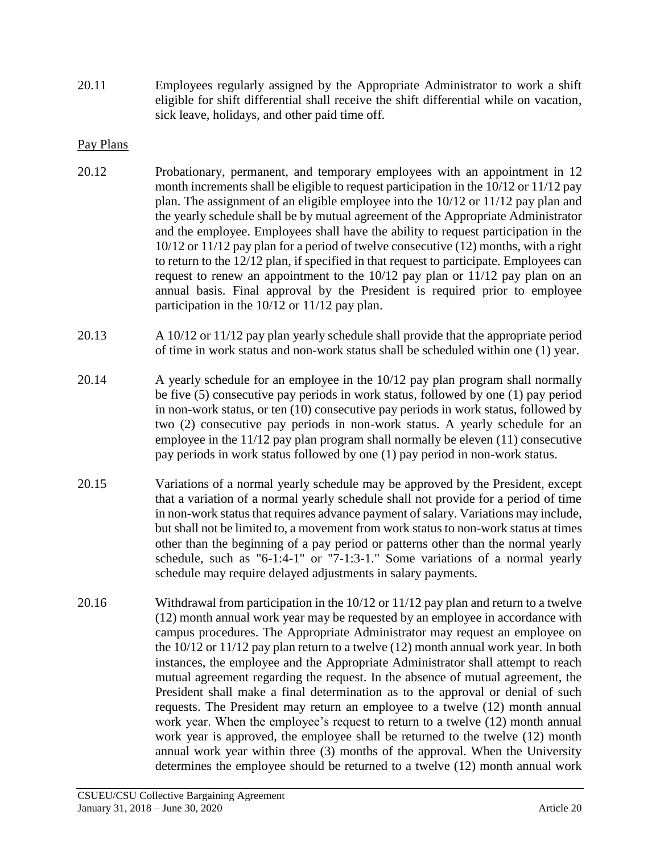20.11 Employees regularly assigned by the Appropriate Administrator to work a shift eligible for shift differential shall receive the shift differential while on vacation, sick leave, holidays, and other paid time off.

## Pay Plans

- 20.12 Probationary, permanent, and temporary employees with an appointment in 12 month increments shall be eligible to request participation in the 10/12 or 11/12 pay plan. The assignment of an eligible employee into the 10/12 or 11/12 pay plan and the yearly schedule shall be by mutual agreement of the Appropriate Administrator and the employee. Employees shall have the ability to request participation in the 10/12 or 11/12 pay plan for a period of twelve consecutive (12) months, with a right to return to the 12/12 plan, if specified in that request to participate. Employees can request to renew an appointment to the 10/12 pay plan or 11/12 pay plan on an annual basis. Final approval by the President is required prior to employee participation in the 10/12 or 11/12 pay plan.
- 20.13 A 10/12 or 11/12 pay plan yearly schedule shall provide that the appropriate period of time in work status and non-work status shall be scheduled within one (1) year.
- 20.14 A yearly schedule for an employee in the 10/12 pay plan program shall normally be five (5) consecutive pay periods in work status, followed by one (1) pay period in non-work status, or ten (10) consecutive pay periods in work status, followed by two (2) consecutive pay periods in non-work status. A yearly schedule for an employee in the 11/12 pay plan program shall normally be eleven (11) consecutive pay periods in work status followed by one (1) pay period in non-work status.
- 20.15 Variations of a normal yearly schedule may be approved by the President, except that a variation of a normal yearly schedule shall not provide for a period of time in non-work status that requires advance payment of salary. Variations may include, but shall not be limited to, a movement from work status to non-work status at times other than the beginning of a pay period or patterns other than the normal yearly schedule, such as "6-1:4-1" or "7-1:3-1." Some variations of a normal yearly schedule may require delayed adjustments in salary payments.
- 20.16 Withdrawal from participation in the 10/12 or 11/12 pay plan and return to a twelve (12) month annual work year may be requested by an employee in accordance with campus procedures. The Appropriate Administrator may request an employee on the 10/12 or 11/12 pay plan return to a twelve (12) month annual work year. In both instances, the employee and the Appropriate Administrator shall attempt to reach mutual agreement regarding the request. In the absence of mutual agreement, the President shall make a final determination as to the approval or denial of such requests. The President may return an employee to a twelve (12) month annual work year. When the employee's request to return to a twelve (12) month annual work year is approved, the employee shall be returned to the twelve (12) month annual work year within three (3) months of the approval. When the University determines the employee should be returned to a twelve (12) month annual work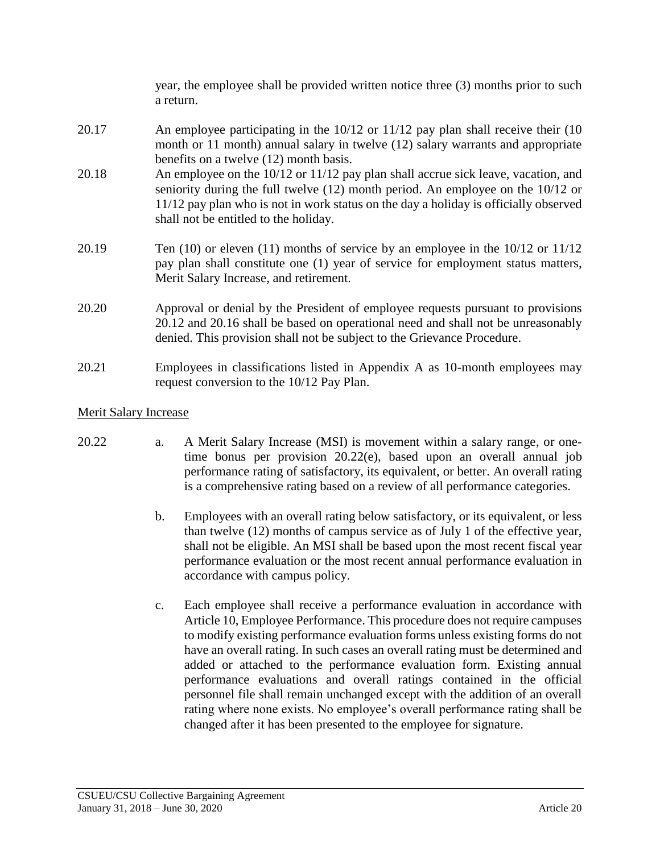year, the employee shall be provided written notice three (3) months prior to such a return.

- 20.17 An employee participating in the 10/12 or 11/12 pay plan shall receive their (10 month or 11 month) annual salary in twelve (12) salary warrants and appropriate benefits on a twelve (12) month basis.
- 20.18 An employee on the 10/12 or 11/12 pay plan shall accrue sick leave, vacation, and seniority during the full twelve (12) month period. An employee on the 10/12 or 11/12 pay plan who is not in work status on the day a holiday is officially observed shall not be entitled to the holiday.
- 20.19 Ten (10) or eleven (11) months of service by an employee in the 10/12 or 11/12 pay plan shall constitute one (1) year of service for employment status matters, Merit Salary Increase, and retirement.
- 20.20 Approval or denial by the President of employee requests pursuant to provisions 20.12 and 20.16 shall be based on operational need and shall not be unreasonably denied. This provision shall not be subject to the Grievance Procedure.
- 20.21 Employees in classifications listed in Appendix A as 10-month employees may request conversion to the 10/12 Pay Plan.

## Merit Salary Increase

- 20.22 a. A Merit Salary Increase (MSI) is movement within a salary range, or onetime bonus per provision 20.22(e), based upon an overall annual job performance rating of satisfactory, its equivalent, or better. An overall rating is a comprehensive rating based on a review of all performance categories.
	- b. Employees with an overall rating below satisfactory, or its equivalent, or less than twelve (12) months of campus service as of July 1 of the effective year, shall not be eligible. An MSI shall be based upon the most recent fiscal year performance evaluation or the most recent annual performance evaluation in accordance with campus policy.
	- c. Each employee shall receive a performance evaluation in accordance with Article 10, Employee Performance. This procedure does not require campuses to modify existing performance evaluation forms unless existing forms do not have an overall rating. In such cases an overall rating must be determined and added or attached to the performance evaluation form. Existing annual performance evaluations and overall ratings contained in the official personnel file shall remain unchanged except with the addition of an overall rating where none exists. No employee's overall performance rating shall be changed after it has been presented to the employee for signature.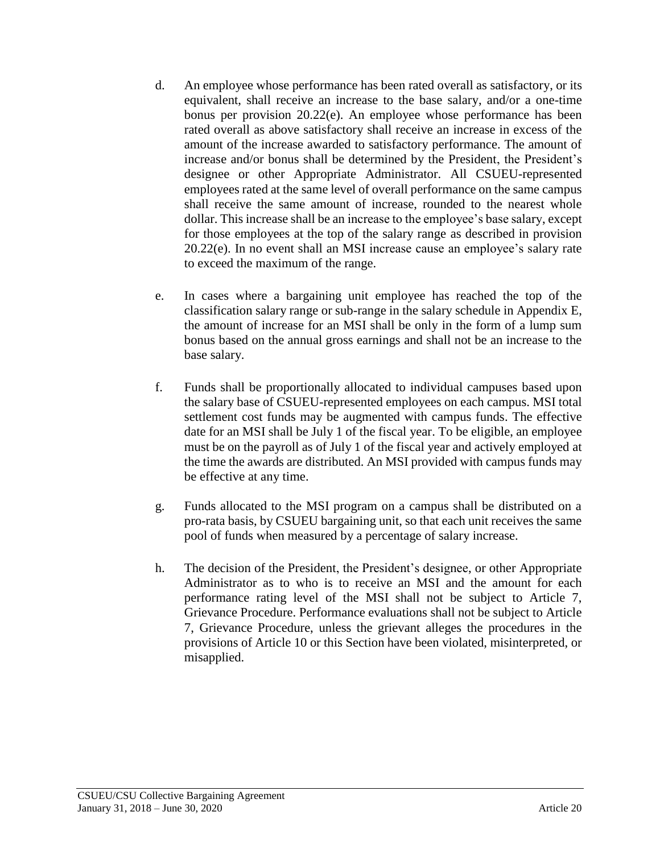- d. An employee whose performance has been rated overall as satisfactory, or its equivalent, shall receive an increase to the base salary, and/or a one-time bonus per provision 20.22(e). An employee whose performance has been rated overall as above satisfactory shall receive an increase in excess of the amount of the increase awarded to satisfactory performance. The amount of increase and/or bonus shall be determined by the President, the President's designee or other Appropriate Administrator. All CSUEU-represented employees rated at the same level of overall performance on the same campus shall receive the same amount of increase, rounded to the nearest whole dollar. This increase shall be an increase to the employee's base salary, except for those employees at the top of the salary range as described in provision 20.22(e). In no event shall an MSI increase cause an employee's salary rate to exceed the maximum of the range.
- e. In cases where a bargaining unit employee has reached the top of the classification salary range or sub-range in the salary schedule in Appendix E, the amount of increase for an MSI shall be only in the form of a lump sum bonus based on the annual gross earnings and shall not be an increase to the base salary.
- f. Funds shall be proportionally allocated to individual campuses based upon the salary base of CSUEU-represented employees on each campus. MSI total settlement cost funds may be augmented with campus funds. The effective date for an MSI shall be July 1 of the fiscal year. To be eligible, an employee must be on the payroll as of July 1 of the fiscal year and actively employed at the time the awards are distributed. An MSI provided with campus funds may be effective at any time.
- g. Funds allocated to the MSI program on a campus shall be distributed on a pro-rata basis, by CSUEU bargaining unit, so that each unit receives the same pool of funds when measured by a percentage of salary increase.
- h. The decision of the President, the President's designee, or other Appropriate Administrator as to who is to receive an MSI and the amount for each performance rating level of the MSI shall not be subject to Article 7, Grievance Procedure. Performance evaluations shall not be subject to Article 7, Grievance Procedure, unless the grievant alleges the procedures in the provisions of Article 10 or this Section have been violated, misinterpreted, or misapplied.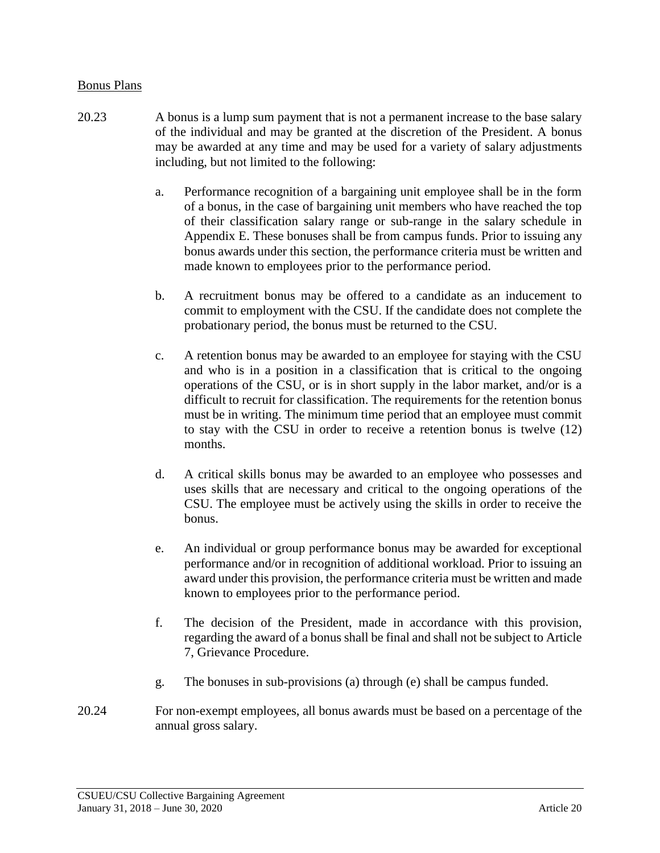#### Bonus Plans

- 20.23 A bonus is a lump sum payment that is not a permanent increase to the base salary of the individual and may be granted at the discretion of the President. A bonus may be awarded at any time and may be used for a variety of salary adjustments including, but not limited to the following:
	- a. Performance recognition of a bargaining unit employee shall be in the form of a bonus, in the case of bargaining unit members who have reached the top of their classification salary range or sub-range in the salary schedule in Appendix E. These bonuses shall be from campus funds. Prior to issuing any bonus awards under this section, the performance criteria must be written and made known to employees prior to the performance period.
	- b. A recruitment bonus may be offered to a candidate as an inducement to commit to employment with the CSU. If the candidate does not complete the probationary period, the bonus must be returned to the CSU.
	- c. A retention bonus may be awarded to an employee for staying with the CSU and who is in a position in a classification that is critical to the ongoing operations of the CSU, or is in short supply in the labor market, and/or is a difficult to recruit for classification. The requirements for the retention bonus must be in writing. The minimum time period that an employee must commit to stay with the CSU in order to receive a retention bonus is twelve (12) months.
	- d. A critical skills bonus may be awarded to an employee who possesses and uses skills that are necessary and critical to the ongoing operations of the CSU. The employee must be actively using the skills in order to receive the bonus.
	- e. An individual or group performance bonus may be awarded for exceptional performance and/or in recognition of additional workload. Prior to issuing an award under this provision, the performance criteria must be written and made known to employees prior to the performance period.
	- f. The decision of the President, made in accordance with this provision, regarding the award of a bonus shall be final and shall not be subject to Article 7, Grievance Procedure.
	- g. The bonuses in sub-provisions (a) through (e) shall be campus funded.
- 20.24 For non-exempt employees, all bonus awards must be based on a percentage of the annual gross salary.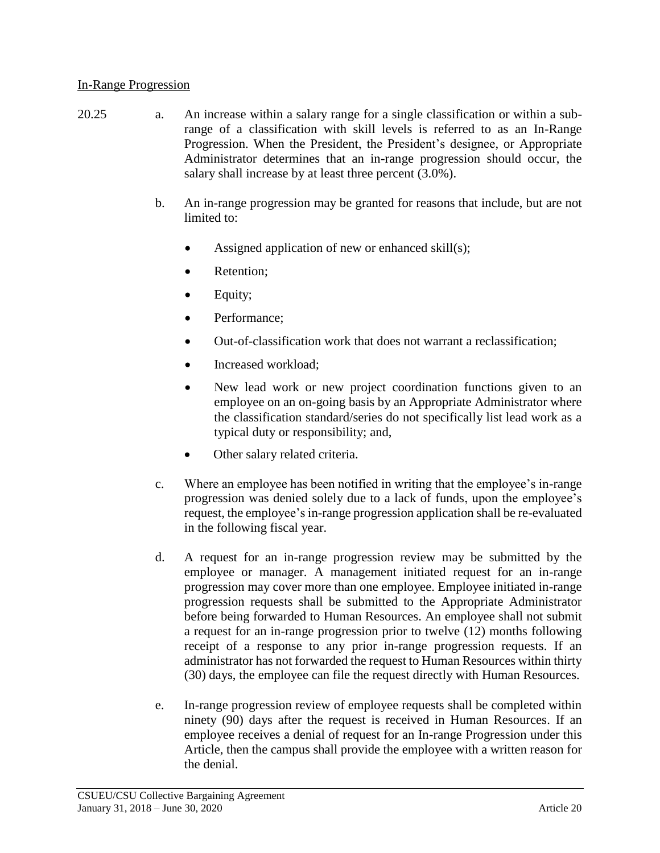#### In-Range Progression

- 20.25 a. An increase within a salary range for a single classification or within a subrange of a classification with skill levels is referred to as an In-Range Progression. When the President, the President's designee, or Appropriate Administrator determines that an in-range progression should occur, the salary shall increase by at least three percent (3.0%).
	- b. An in-range progression may be granted for reasons that include, but are not limited to:
		- Assigned application of new or enhanced skill(s);
		- Retention:
		- Equity;
		- Performance:
		- Out-of-classification work that does not warrant a reclassification;
		- Increased workload:
		- New lead work or new project coordination functions given to an employee on an on-going basis by an Appropriate Administrator where the classification standard/series do not specifically list lead work as a typical duty or responsibility; and,
		- Other salary related criteria.
	- c. Where an employee has been notified in writing that the employee's in-range progression was denied solely due to a lack of funds, upon the employee's request, the employee's in-range progression application shall be re-evaluated in the following fiscal year.
	- d. A request for an in-range progression review may be submitted by the employee or manager. A management initiated request for an in-range progression may cover more than one employee. Employee initiated in-range progression requests shall be submitted to the Appropriate Administrator before being forwarded to Human Resources. An employee shall not submit a request for an in-range progression prior to twelve (12) months following receipt of a response to any prior in-range progression requests. If an administrator has not forwarded the request to Human Resources within thirty (30) days, the employee can file the request directly with Human Resources.
	- e. In-range progression review of employee requests shall be completed within ninety (90) days after the request is received in Human Resources. If an employee receives a denial of request for an In-range Progression under this Article, then the campus shall provide the employee with a written reason for the denial.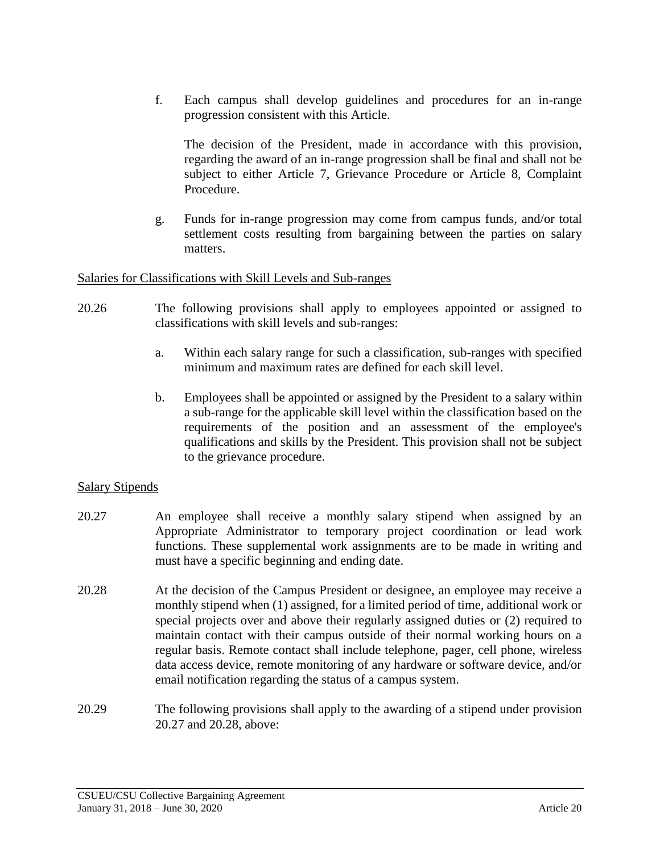f. Each campus shall develop guidelines and procedures for an in-range progression consistent with this Article.

The decision of the President, made in accordance with this provision, regarding the award of an in-range progression shall be final and shall not be subject to either Article 7, Grievance Procedure or Article 8, Complaint Procedure.

g. Funds for in-range progression may come from campus funds, and/or total settlement costs resulting from bargaining between the parties on salary matters.

#### Salaries for Classifications with Skill Levels and Sub-ranges

- 20.26 The following provisions shall apply to employees appointed or assigned to classifications with skill levels and sub-ranges:
	- a. Within each salary range for such a classification, sub-ranges with specified minimum and maximum rates are defined for each skill level.
	- b. Employees shall be appointed or assigned by the President to a salary within a sub-range for the applicable skill level within the classification based on the requirements of the position and an assessment of the employee's qualifications and skills by the President. This provision shall not be subject to the grievance procedure.

## Salary Stipends

- 20.27 An employee shall receive a monthly salary stipend when assigned by an Appropriate Administrator to temporary project coordination or lead work functions. These supplemental work assignments are to be made in writing and must have a specific beginning and ending date.
- 20.28 At the decision of the Campus President or designee, an employee may receive a monthly stipend when (1) assigned, for a limited period of time, additional work or special projects over and above their regularly assigned duties or (2) required to maintain contact with their campus outside of their normal working hours on a regular basis. Remote contact shall include telephone, pager, cell phone, wireless data access device, remote monitoring of any hardware or software device, and/or email notification regarding the status of a campus system.
- 20.29 The following provisions shall apply to the awarding of a stipend under provision 20.27 and 20.28, above: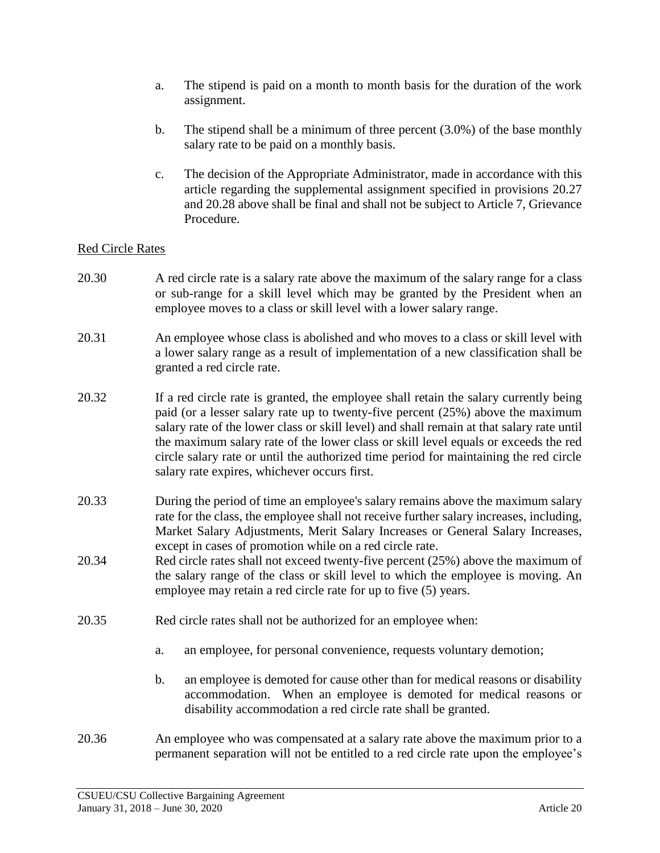- a. The stipend is paid on a month to month basis for the duration of the work assignment.
- b. The stipend shall be a minimum of three percent (3.0%) of the base monthly salary rate to be paid on a monthly basis.
- c. The decision of the Appropriate Administrator, made in accordance with this article regarding the supplemental assignment specified in provisions 20.27 and 20.28 above shall be final and shall not be subject to Article 7, Grievance Procedure.

## Red Circle Rates

- 20.30 A red circle rate is a salary rate above the maximum of the salary range for a class or sub-range for a skill level which may be granted by the President when an employee moves to a class or skill level with a lower salary range.
- 20.31 An employee whose class is abolished and who moves to a class or skill level with a lower salary range as a result of implementation of a new classification shall be granted a red circle rate.
- 20.32 If a red circle rate is granted, the employee shall retain the salary currently being paid (or a lesser salary rate up to twenty-five percent (25%) above the maximum salary rate of the lower class or skill level) and shall remain at that salary rate until the maximum salary rate of the lower class or skill level equals or exceeds the red circle salary rate or until the authorized time period for maintaining the red circle salary rate expires, whichever occurs first.
- 20.33 During the period of time an employee's salary remains above the maximum salary rate for the class, the employee shall not receive further salary increases, including, Market Salary Adjustments, Merit Salary Increases or General Salary Increases, except in cases of promotion while on a red circle rate.
- 20.34 Red circle rates shall not exceed twenty-five percent (25%) above the maximum of the salary range of the class or skill level to which the employee is moving. An employee may retain a red circle rate for up to five (5) years.
- 20.35 Red circle rates shall not be authorized for an employee when:
	- a. an employee, for personal convenience, requests voluntary demotion;
	- b. an employee is demoted for cause other than for medical reasons or disability accommodation. When an employee is demoted for medical reasons or disability accommodation a red circle rate shall be granted.
- 20.36 An employee who was compensated at a salary rate above the maximum prior to a permanent separation will not be entitled to a red circle rate upon the employee's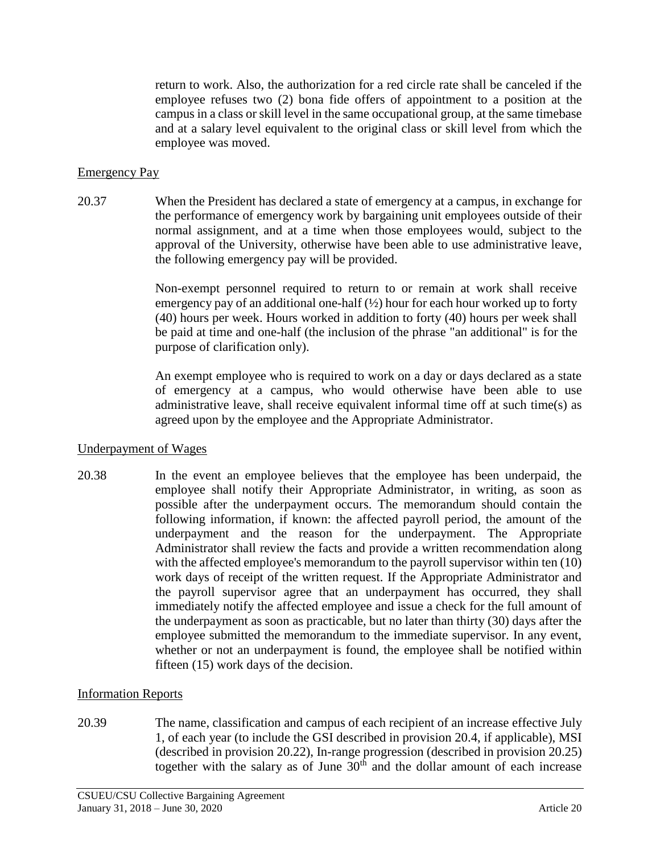return to work. Also, the authorization for a red circle rate shall be canceled if the employee refuses two (2) bona fide offers of appointment to a position at the campus in a class or skill level in the same occupational group, at the same timebase and at a salary level equivalent to the original class or skill level from which the employee was moved.

## Emergency Pay

20.37 When the President has declared a state of emergency at a campus, in exchange for the performance of emergency work by bargaining unit employees outside of their normal assignment, and at a time when those employees would, subject to the approval of the University, otherwise have been able to use administrative leave, the following emergency pay will be provided.

> Non-exempt personnel required to return to or remain at work shall receive emergency pay of an additional one-half  $(\frac{1}{2})$  hour for each hour worked up to forty (40) hours per week. Hours worked in addition to forty (40) hours per week shall be paid at time and one-half (the inclusion of the phrase "an additional" is for the purpose of clarification only).

> An exempt employee who is required to work on a day or days declared as a state of emergency at a campus, who would otherwise have been able to use administrative leave, shall receive equivalent informal time off at such time(s) as agreed upon by the employee and the Appropriate Administrator.

## Underpayment of Wages

20.38 In the event an employee believes that the employee has been underpaid, the employee shall notify their Appropriate Administrator, in writing, as soon as possible after the underpayment occurs. The memorandum should contain the following information, if known: the affected payroll period, the amount of the underpayment and the reason for the underpayment. The Appropriate Administrator shall review the facts and provide a written recommendation along with the affected employee's memorandum to the payroll supervisor within ten  $(10)$ work days of receipt of the written request. If the Appropriate Administrator and the payroll supervisor agree that an underpayment has occurred, they shall immediately notify the affected employee and issue a check for the full amount of the underpayment as soon as practicable, but no later than thirty (30) days after the employee submitted the memorandum to the immediate supervisor. In any event, whether or not an underpayment is found, the employee shall be notified within fifteen (15) work days of the decision.

## Information Reports

20.39 The name, classification and campus of each recipient of an increase effective July 1, of each year (to include the GSI described in provision 20.4, if applicable), MSI (described in provision 20.22), In-range progression (described in provision 20.25) together with the salary as of June  $30<sup>th</sup>$  and the dollar amount of each increase